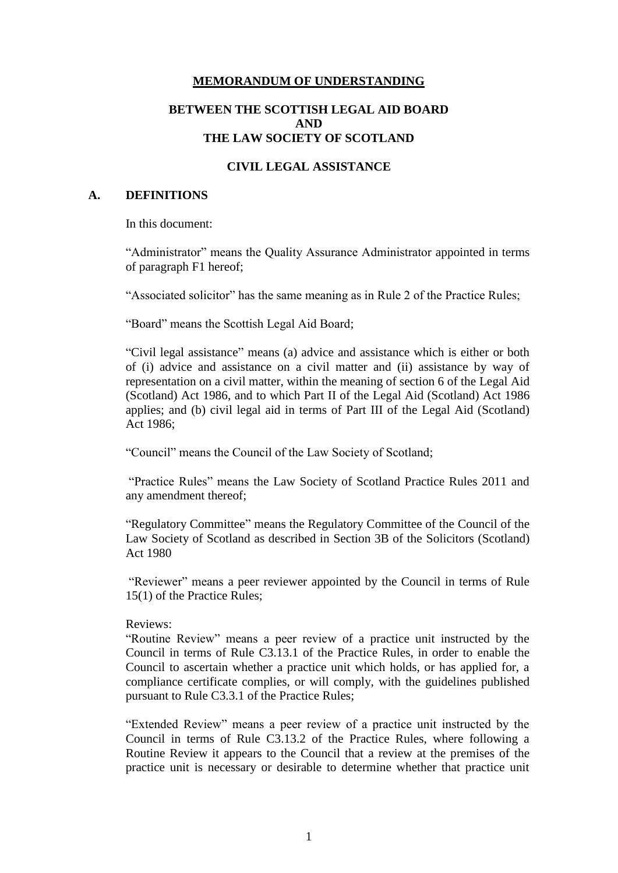### **MEMORANDUM OF UNDERSTANDING**

## **BETWEEN THE SCOTTISH LEGAL AID BOARD AND THE LAW SOCIETY OF SCOTLAND**

### **CIVIL LEGAL ASSISTANCE**

#### **A. DEFINITIONS**

In this document:

"Administrator" means the Quality Assurance Administrator appointed in terms of paragraph F1 hereof;

"Associated solicitor" has the same meaning as in Rule 2 of the Practice Rules;

"Board" means the Scottish Legal Aid Board;

"Civil legal assistance" means (a) advice and assistance which is either or both of (i) advice and assistance on a civil matter and (ii) assistance by way of representation on a civil matter, within the meaning of section 6 of the Legal Aid (Scotland) Act 1986, and to which Part II of the Legal Aid (Scotland) Act 1986 applies; and (b) civil legal aid in terms of Part III of the Legal Aid (Scotland) Act 1986;

"Council" means the Council of the Law Society of Scotland;

"Practice Rules" means the Law Society of Scotland Practice Rules 2011 and any amendment thereof;

"Regulatory Committee" means the Regulatory Committee of the Council of the Law Society of Scotland as described in Section 3B of the Solicitors (Scotland) Act 1980

"Reviewer" means a peer reviewer appointed by the Council in terms of Rule 15(1) of the Practice Rules;

### Reviews:

"Routine Review" means a peer review of a practice unit instructed by the Council in terms of Rule C3.13.1 of the Practice Rules, in order to enable the Council to ascertain whether a practice unit which holds, or has applied for, a compliance certificate complies, or will comply, with the guidelines published pursuant to Rule C3.3.1 of the Practice Rules;

"Extended Review" means a peer review of a practice unit instructed by the Council in terms of Rule C3.13.2 of the Practice Rules, where following a Routine Review it appears to the Council that a review at the premises of the practice unit is necessary or desirable to determine whether that practice unit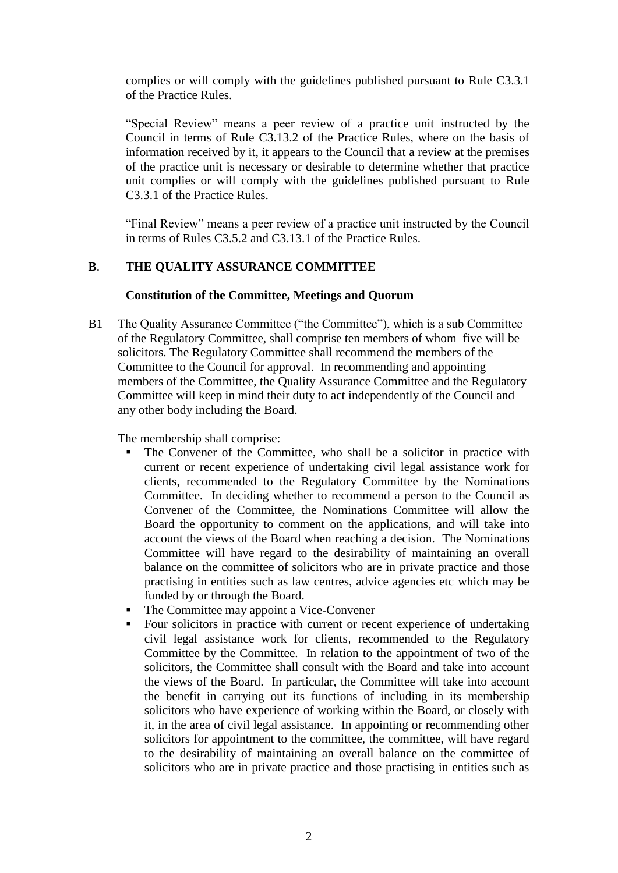complies or will comply with the guidelines published pursuant to Rule C3.3.1 of the Practice Rules.

"Special Review" means a peer review of a practice unit instructed by the Council in terms of Rule C3.13.2 of the Practice Rules, where on the basis of information received by it, it appears to the Council that a review at the premises of the practice unit is necessary or desirable to determine whether that practice unit complies or will comply with the guidelines published pursuant to Rule C3.3.1 of the Practice Rules.

"Final Review" means a peer review of a practice unit instructed by the Council in terms of Rules C3.5.2 and C3.13.1 of the Practice Rules.

# **B**. **THE QUALITY ASSURANCE COMMITTEE**

### **Constitution of the Committee, Meetings and Quorum**

B1 The Quality Assurance Committee ("the Committee"), which is a sub Committee of the Regulatory Committee, shall comprise ten members of whom five will be solicitors. The Regulatory Committee shall recommend the members of the Committee to the Council for approval. In recommending and appointing members of the Committee, the Quality Assurance Committee and the Regulatory Committee will keep in mind their duty to act independently of the Council and any other body including the Board.

The membership shall comprise:

- The Convener of the Committee, who shall be a solicitor in practice with current or recent experience of undertaking civil legal assistance work for clients, recommended to the Regulatory Committee by the Nominations Committee. In deciding whether to recommend a person to the Council as Convener of the Committee, the Nominations Committee will allow the Board the opportunity to comment on the applications, and will take into account the views of the Board when reaching a decision. The Nominations Committee will have regard to the desirability of maintaining an overall balance on the committee of solicitors who are in private practice and those practising in entities such as law centres, advice agencies etc which may be funded by or through the Board.
- The Committee may appoint a Vice-Convener
- Four solicitors in practice with current or recent experience of undertaking civil legal assistance work for clients, recommended to the Regulatory Committee by the Committee. In relation to the appointment of two of the solicitors, the Committee shall consult with the Board and take into account the views of the Board. In particular, the Committee will take into account the benefit in carrying out its functions of including in its membership solicitors who have experience of working within the Board, or closely with it, in the area of civil legal assistance. In appointing or recommending other solicitors for appointment to the committee, the committee, will have regard to the desirability of maintaining an overall balance on the committee of solicitors who are in private practice and those practising in entities such as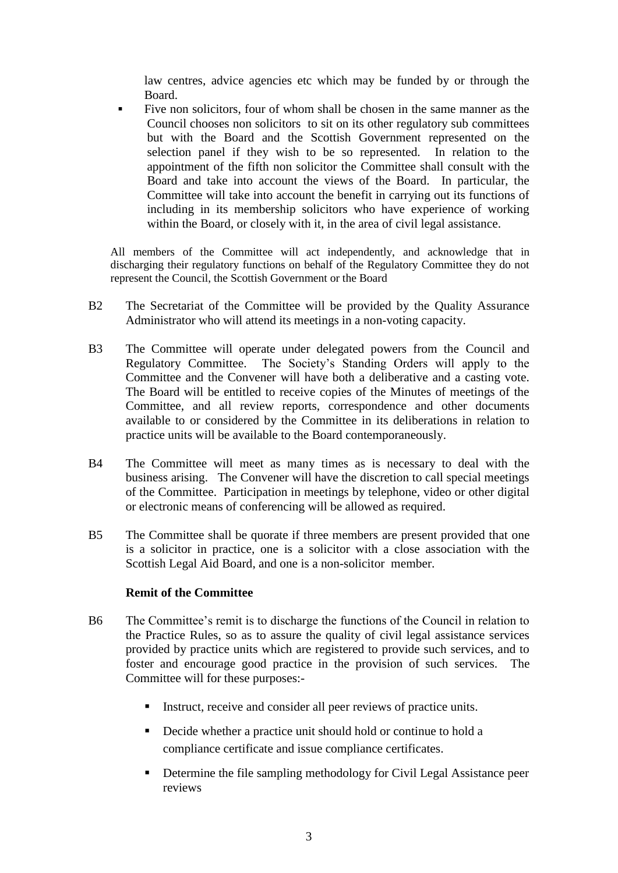law centres, advice agencies etc which may be funded by or through the Board.

 Five non solicitors, four of whom shall be chosen in the same manner as the Council chooses non solicitors to sit on its other regulatory sub committees but with the Board and the Scottish Government represented on the selection panel if they wish to be so represented. In relation to the appointment of the fifth non solicitor the Committee shall consult with the Board and take into account the views of the Board. In particular, the Committee will take into account the benefit in carrying out its functions of including in its membership solicitors who have experience of working within the Board, or closely with it, in the area of civil legal assistance.

All members of the Committee will act independently, and acknowledge that in discharging their regulatory functions on behalf of the Regulatory Committee they do not represent the Council, the Scottish Government or the Board

- B2 The Secretariat of the Committee will be provided by the Quality Assurance Administrator who will attend its meetings in a non-voting capacity.
- B3 The Committee will operate under delegated powers from the Council and Regulatory Committee. The Society's Standing Orders will apply to the Committee and the Convener will have both a deliberative and a casting vote. The Board will be entitled to receive copies of the Minutes of meetings of the Committee, and all review reports, correspondence and other documents available to or considered by the Committee in its deliberations in relation to practice units will be available to the Board contemporaneously.
- B4 The Committee will meet as many times as is necessary to deal with the business arising. The Convener will have the discretion to call special meetings of the Committee. Participation in meetings by telephone, video or other digital or electronic means of conferencing will be allowed as required.
- B5 The Committee shall be quorate if three members are present provided that one is a solicitor in practice, one is a solicitor with a close association with the Scottish Legal Aid Board, and one is a non-solicitor member.

### **Remit of the Committee**

- B6 The Committee's remit is to discharge the functions of the Council in relation to the Practice Rules, so as to assure the quality of civil legal assistance services provided by practice units which are registered to provide such services, and to foster and encourage good practice in the provision of such services. The Committee will for these purposes:-
	- Instruct, receive and consider all peer reviews of practice units.
	- Decide whether a practice unit should hold or continue to hold a compliance certificate and issue compliance certificates.
	- **•** Determine the file sampling methodology for Civil Legal Assistance peer reviews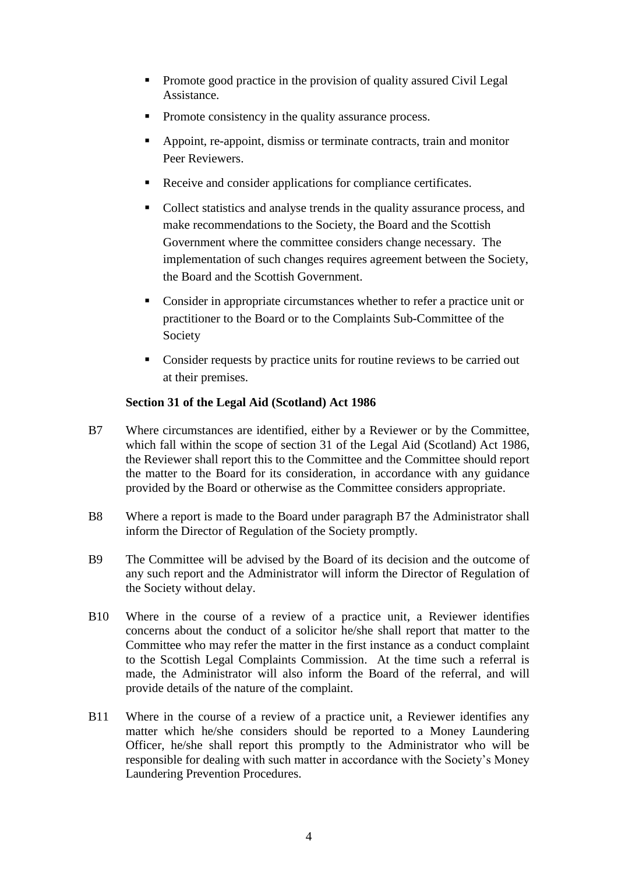- Promote good practice in the provision of quality assured Civil Legal Assistance.
- Promote consistency in the quality assurance process.
- Appoint, re-appoint, dismiss or terminate contracts, train and monitor Peer Reviewers.
- Receive and consider applications for compliance certificates.
- Collect statistics and analyse trends in the quality assurance process, and make recommendations to the Society, the Board and the Scottish Government where the committee considers change necessary. The implementation of such changes requires agreement between the Society, the Board and the Scottish Government.
- Consider in appropriate circumstances whether to refer a practice unit or practitioner to the Board or to the Complaints Sub-Committee of the Society
- Consider requests by practice units for routine reviews to be carried out at their premises.

# **Section 31 of the Legal Aid (Scotland) Act 1986**

- B7 Where circumstances are identified, either by a Reviewer or by the Committee, which fall within the scope of section 31 of the Legal Aid (Scotland) Act 1986, the Reviewer shall report this to the Committee and the Committee should report the matter to the Board for its consideration, in accordance with any guidance provided by the Board or otherwise as the Committee considers appropriate.
- B8 Where a report is made to the Board under paragraph B7 the Administrator shall inform the Director of Regulation of the Society promptly.
- B9 The Committee will be advised by the Board of its decision and the outcome of any such report and the Administrator will inform the Director of Regulation of the Society without delay.
- B10 Where in the course of a review of a practice unit, a Reviewer identifies concerns about the conduct of a solicitor he/she shall report that matter to the Committee who may refer the matter in the first instance as a conduct complaint to the Scottish Legal Complaints Commission. At the time such a referral is made, the Administrator will also inform the Board of the referral, and will provide details of the nature of the complaint.
- B11 Where in the course of a review of a practice unit, a Reviewer identifies any matter which he/she considers should be reported to a Money Laundering Officer, he/she shall report this promptly to the Administrator who will be responsible for dealing with such matter in accordance with the Society's Money Laundering Prevention Procedures.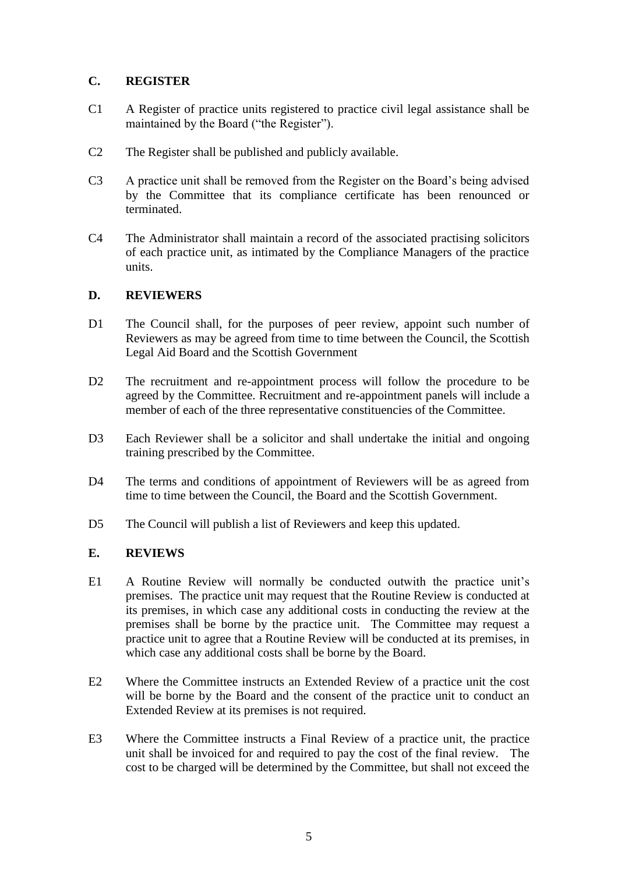# **C. REGISTER**

- C1 A Register of practice units registered to practice civil legal assistance shall be maintained by the Board ("the Register").
- C2 The Register shall be published and publicly available.
- C3 A practice unit shall be removed from the Register on the Board's being advised by the Committee that its compliance certificate has been renounced or terminated.
- C4 The Administrator shall maintain a record of the associated practising solicitors of each practice unit, as intimated by the Compliance Managers of the practice units.

## **D. REVIEWERS**

- D1 The Council shall, for the purposes of peer review, appoint such number of Reviewers as may be agreed from time to time between the Council, the Scottish Legal Aid Board and the Scottish Government
- D2 The recruitment and re-appointment process will follow the procedure to be agreed by the Committee. Recruitment and re-appointment panels will include a member of each of the three representative constituencies of the Committee.
- D3 Each Reviewer shall be a solicitor and shall undertake the initial and ongoing training prescribed by the Committee.
- D4 The terms and conditions of appointment of Reviewers will be as agreed from time to time between the Council, the Board and the Scottish Government.
- D5 The Council will publish a list of Reviewers and keep this updated.

# **E. REVIEWS**

- E1 A Routine Review will normally be conducted outwith the practice unit's premises. The practice unit may request that the Routine Review is conducted at its premises, in which case any additional costs in conducting the review at the premises shall be borne by the practice unit. The Committee may request a practice unit to agree that a Routine Review will be conducted at its premises, in which case any additional costs shall be borne by the Board.
- E2 Where the Committee instructs an Extended Review of a practice unit the cost will be borne by the Board and the consent of the practice unit to conduct an Extended Review at its premises is not required.
- E3 Where the Committee instructs a Final Review of a practice unit, the practice unit shall be invoiced for and required to pay the cost of the final review. The cost to be charged will be determined by the Committee, but shall not exceed the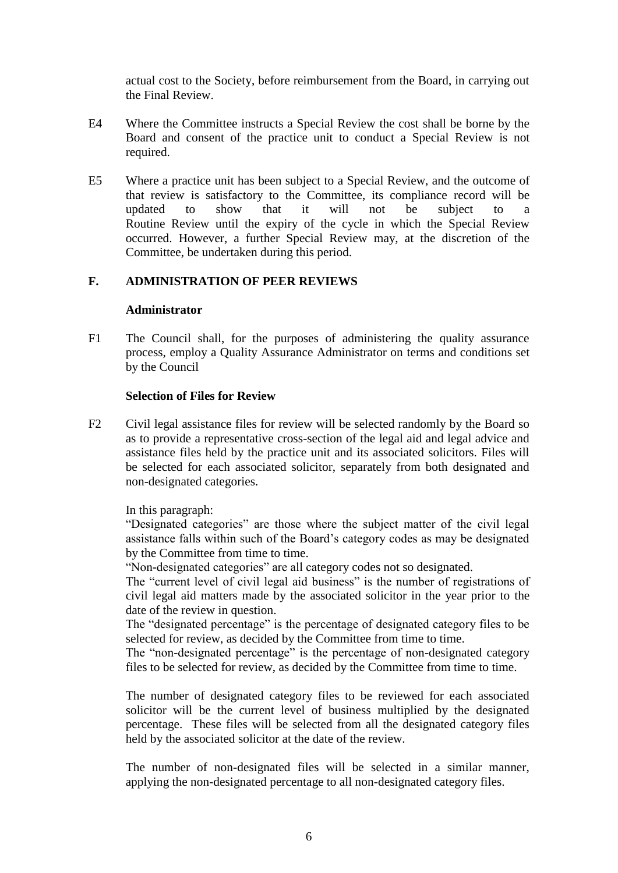actual cost to the Society, before reimbursement from the Board, in carrying out the Final Review.

- E4 Where the Committee instructs a Special Review the cost shall be borne by the Board and consent of the practice unit to conduct a Special Review is not required.
- E5 Where a practice unit has been subject to a Special Review, and the outcome of that review is satisfactory to the Committee, its compliance record will be updated to show that it will not be subject to a Routine Review until the expiry of the cycle in which the Special Review occurred. However, a further Special Review may, at the discretion of the Committee, be undertaken during this period.

## **F. ADMINISTRATION OF PEER REVIEWS**

#### **Administrator**

F1 The Council shall, for the purposes of administering the quality assurance process, employ a Quality Assurance Administrator on terms and conditions set by the Council

### **Selection of Files for Review**

F2 Civil legal assistance files for review will be selected randomly by the Board so as to provide a representative cross-section of the legal aid and legal advice and assistance files held by the practice unit and its associated solicitors. Files will be selected for each associated solicitor, separately from both designated and non-designated categories.

In this paragraph:

"Designated categories" are those where the subject matter of the civil legal assistance falls within such of the Board's category codes as may be designated by the Committee from time to time.

"Non-designated categories" are all category codes not so designated.

The "current level of civil legal aid business" is the number of registrations of civil legal aid matters made by the associated solicitor in the year prior to the date of the review in question.

The "designated percentage" is the percentage of designated category files to be selected for review, as decided by the Committee from time to time.

The "non-designated percentage" is the percentage of non-designated category files to be selected for review, as decided by the Committee from time to time.

The number of designated category files to be reviewed for each associated solicitor will be the current level of business multiplied by the designated percentage. These files will be selected from all the designated category files held by the associated solicitor at the date of the review.

The number of non-designated files will be selected in a similar manner, applying the non-designated percentage to all non-designated category files.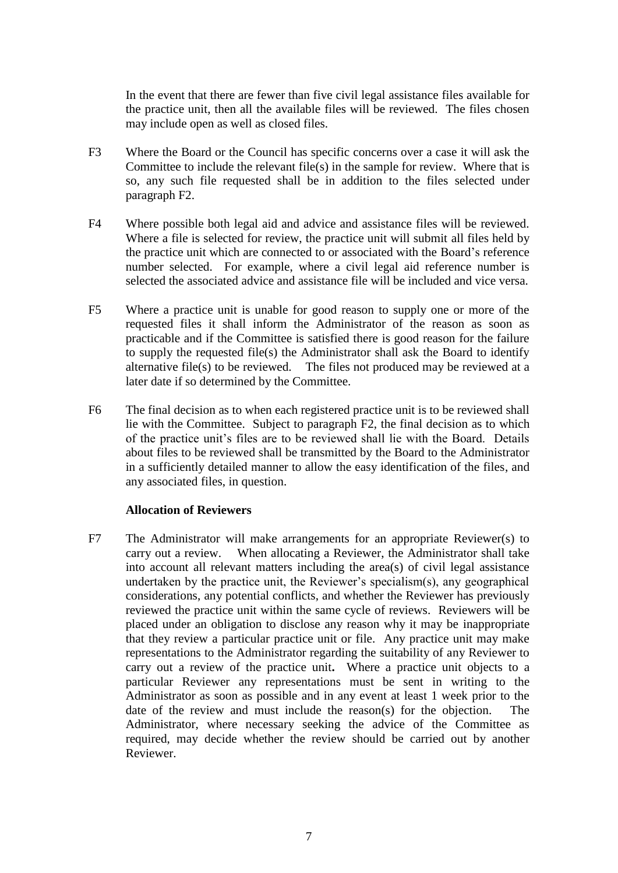In the event that there are fewer than five civil legal assistance files available for the practice unit, then all the available files will be reviewed. The files chosen may include open as well as closed files.

- F3 Where the Board or the Council has specific concerns over a case it will ask the Committee to include the relevant file(s) in the sample for review. Where that is so, any such file requested shall be in addition to the files selected under paragraph F2.
- F4 Where possible both legal aid and advice and assistance files will be reviewed. Where a file is selected for review, the practice unit will submit all files held by the practice unit which are connected to or associated with the Board's reference number selected. For example, where a civil legal aid reference number is selected the associated advice and assistance file will be included and vice versa.
- F5 Where a practice unit is unable for good reason to supply one or more of the requested files it shall inform the Administrator of the reason as soon as practicable and if the Committee is satisfied there is good reason for the failure to supply the requested file(s) the Administrator shall ask the Board to identify alternative file(s) to be reviewed. The files not produced may be reviewed at a later date if so determined by the Committee.
- F6 The final decision as to when each registered practice unit is to be reviewed shall lie with the Committee. Subject to paragraph F2, the final decision as to which of the practice unit's files are to be reviewed shall lie with the Board. Details about files to be reviewed shall be transmitted by the Board to the Administrator in a sufficiently detailed manner to allow the easy identification of the files, and any associated files, in question.

### **Allocation of Reviewers**

F7 The Administrator will make arrangements for an appropriate Reviewer(s) to carry out a review. When allocating a Reviewer, the Administrator shall take into account all relevant matters including the area(s) of civil legal assistance undertaken by the practice unit, the Reviewer's specialism(s), any geographical considerations, any potential conflicts, and whether the Reviewer has previously reviewed the practice unit within the same cycle of reviews. Reviewers will be placed under an obligation to disclose any reason why it may be inappropriate that they review a particular practice unit or file. Any practice unit may make representations to the Administrator regarding the suitability of any Reviewer to carry out a review of the practice unit**.** Where a practice unit objects to a particular Reviewer any representations must be sent in writing to the Administrator as soon as possible and in any event at least 1 week prior to the date of the review and must include the reason(s) for the objection. The Administrator, where necessary seeking the advice of the Committee as required, may decide whether the review should be carried out by another Reviewer.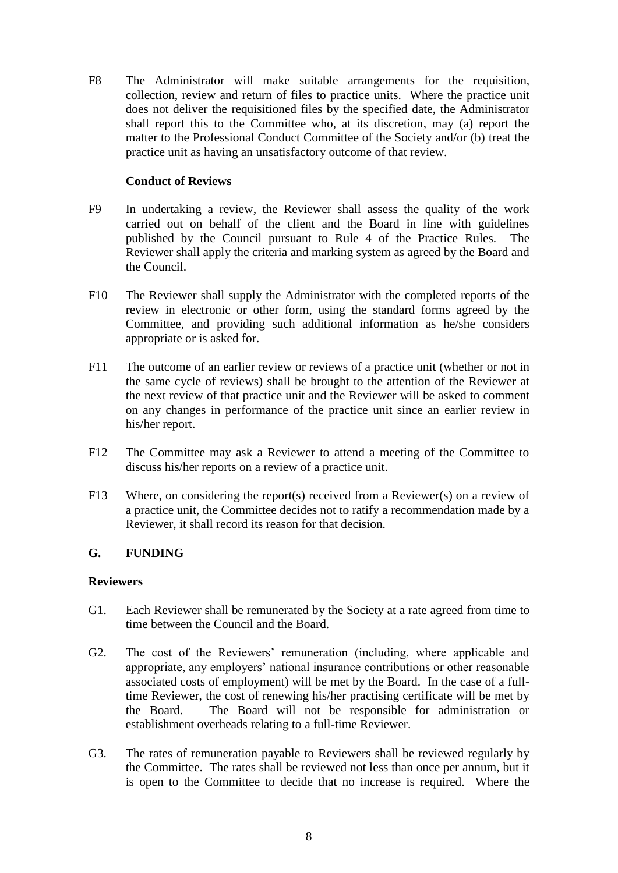F8 The Administrator will make suitable arrangements for the requisition, collection, review and return of files to practice units. Where the practice unit does not deliver the requisitioned files by the specified date, the Administrator shall report this to the Committee who, at its discretion, may (a) report the matter to the Professional Conduct Committee of the Society and/or (b) treat the practice unit as having an unsatisfactory outcome of that review.

# **Conduct of Reviews**

- F9 In undertaking a review, the Reviewer shall assess the quality of the work carried out on behalf of the client and the Board in line with guidelines published by the Council pursuant to Rule 4 of the Practice Rules. The Reviewer shall apply the criteria and marking system as agreed by the Board and the Council.
- F10 The Reviewer shall supply the Administrator with the completed reports of the review in electronic or other form, using the standard forms agreed by the Committee, and providing such additional information as he/she considers appropriate or is asked for.
- F11 The outcome of an earlier review or reviews of a practice unit (whether or not in the same cycle of reviews) shall be brought to the attention of the Reviewer at the next review of that practice unit and the Reviewer will be asked to comment on any changes in performance of the practice unit since an earlier review in his/her report.
- F12 The Committee may ask a Reviewer to attend a meeting of the Committee to discuss his/her reports on a review of a practice unit.
- F13 Where, on considering the report(s) received from a Reviewer(s) on a review of a practice unit, the Committee decides not to ratify a recommendation made by a Reviewer, it shall record its reason for that decision.

# **G. FUNDING**

### **Reviewers**

- G1. Each Reviewer shall be remunerated by the Society at a rate agreed from time to time between the Council and the Board.
- G2. The cost of the Reviewers' remuneration (including, where applicable and appropriate, any employers' national insurance contributions or other reasonable associated costs of employment) will be met by the Board. In the case of a fulltime Reviewer, the cost of renewing his/her practising certificate will be met by the Board. The Board will not be responsible for administration or establishment overheads relating to a full-time Reviewer.
- G3. The rates of remuneration payable to Reviewers shall be reviewed regularly by the Committee. The rates shall be reviewed not less than once per annum, but it is open to the Committee to decide that no increase is required. Where the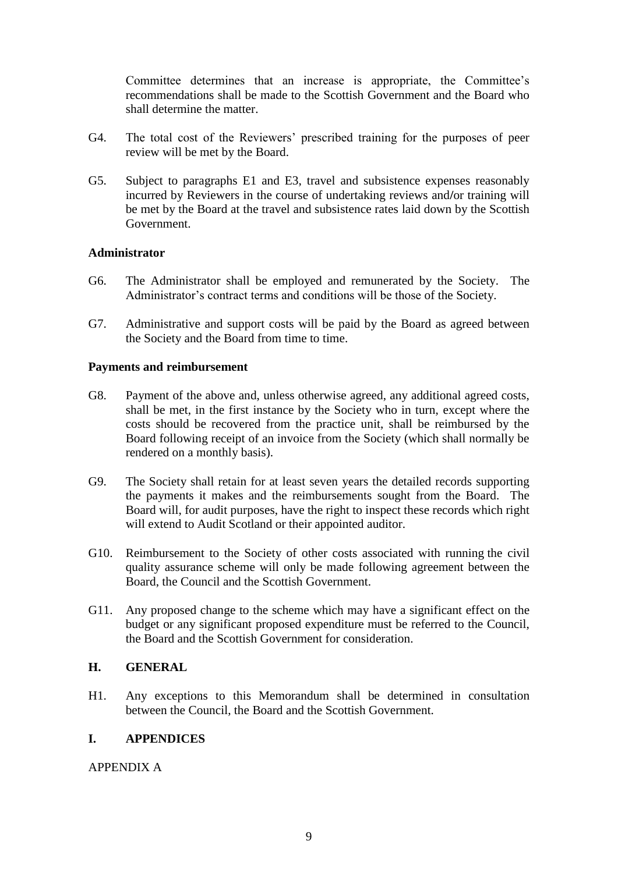Committee determines that an increase is appropriate, the Committee's recommendations shall be made to the Scottish Government and the Board who shall determine the matter.

- G4. The total cost of the Reviewers' prescribed training for the purposes of peer review will be met by the Board.
- G5. Subject to paragraphs E1 and E3, travel and subsistence expenses reasonably incurred by Reviewers in the course of undertaking reviews and**/**or training will be met by the Board at the travel and subsistence rates laid down by the Scottish Government.

### **Administrator**

- G6. The Administrator shall be employed and remunerated by the Society. The Administrator's contract terms and conditions will be those of the Society.
- G7. Administrative and support costs will be paid by the Board as agreed between the Society and the Board from time to time.

### **Payments and reimbursement**

- G8. Payment of the above and, unless otherwise agreed, any additional agreed costs, shall be met, in the first instance by the Society who in turn, except where the costs should be recovered from the practice unit, shall be reimbursed by the Board following receipt of an invoice from the Society (which shall normally be rendered on a monthly basis).
- G9. The Society shall retain for at least seven years the detailed records supporting the payments it makes and the reimbursements sought from the Board. The Board will, for audit purposes, have the right to inspect these records which right will extend to Audit Scotland or their appointed auditor.
- G10. Reimbursement to the Society of other costs associated with running the civil quality assurance scheme will only be made following agreement between the Board, the Council and the Scottish Government.
- G11. Any proposed change to the scheme which may have a significant effect on the budget or any significant proposed expenditure must be referred to the Council, the Board and the Scottish Government for consideration.

### **H. GENERAL**

H1. Any exceptions to this Memorandum shall be determined in consultation between the Council, the Board and the Scottish Government.

### **I. APPENDICES**

APPENDIX A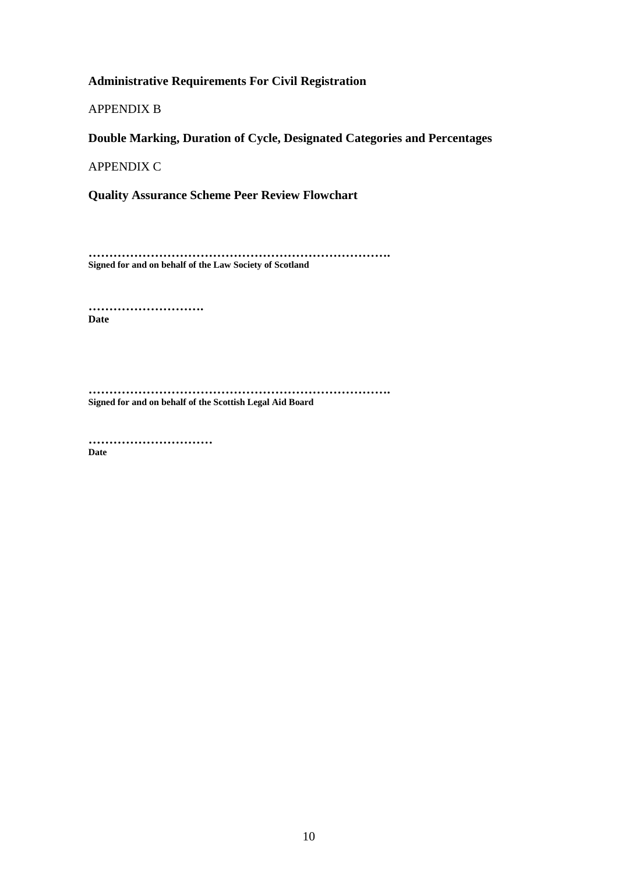# **Administrative Requirements For Civil Registration**

APPENDIX B

**Double Marking, Duration of Cycle, Designated Categories and Percentages**

APPENDIX C

**Quality Assurance Scheme Peer Review Flowchart**

**………………………………………………………………. Signed for and on behalf of the Law Society of Scotland**

**………………………. Date**

**………………………………………………………………. Signed for and on behalf of the Scottish Legal Aid Board**

**………………………… Date**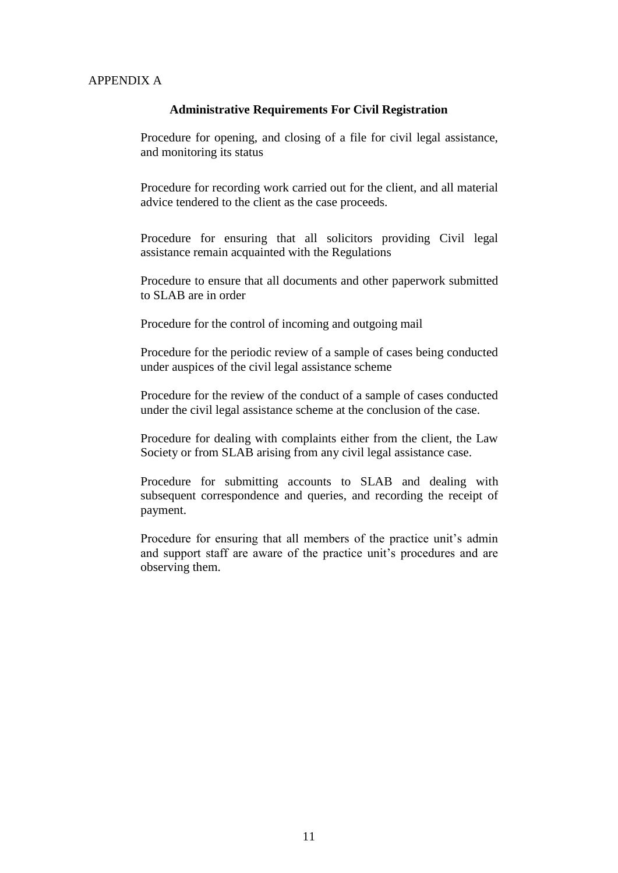### APPENDIX A

#### **Administrative Requirements For Civil Registration**

Procedure for opening, and closing of a file for civil legal assistance, and monitoring its status

Procedure for recording work carried out for the client, and all material advice tendered to the client as the case proceeds.

Procedure for ensuring that all solicitors providing Civil legal assistance remain acquainted with the Regulations

Procedure to ensure that all documents and other paperwork submitted to SLAB are in order

Procedure for the control of incoming and outgoing mail

Procedure for the periodic review of a sample of cases being conducted under auspices of the civil legal assistance scheme

Procedure for the review of the conduct of a sample of cases conducted under the civil legal assistance scheme at the conclusion of the case.

Procedure for dealing with complaints either from the client, the Law Society or from SLAB arising from any civil legal assistance case.

Procedure for submitting accounts to SLAB and dealing with subsequent correspondence and queries, and recording the receipt of payment.

Procedure for ensuring that all members of the practice unit's admin and support staff are aware of the practice unit's procedures and are observing them.